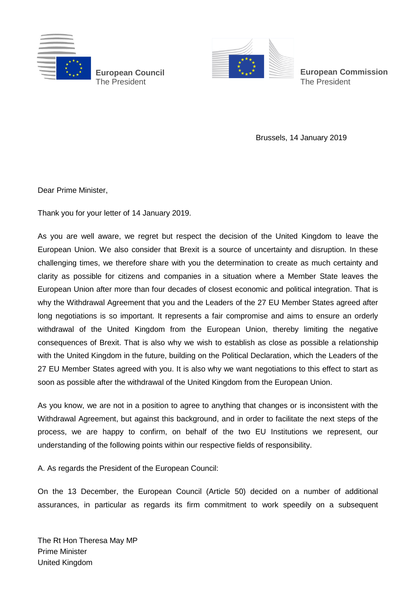

**European Council** The President



**European Commission** The President

Brussels, 14 January 2019

Dear Prime Minister,

Thank you for your letter of 14 January 2019.

As you are well aware, we regret but respect the decision of the United Kingdom to leave the European Union. We also consider that Brexit is a source of uncertainty and disruption. In these challenging times, we therefore share with you the determination to create as much certainty and clarity as possible for citizens and companies in a situation where a Member State leaves the European Union after more than four decades of closest economic and political integration. That is why the Withdrawal Agreement that you and the Leaders of the 27 EU Member States agreed after long negotiations is so important. It represents a fair compromise and aims to ensure an orderly withdrawal of the United Kingdom from the European Union, thereby limiting the negative consequences of Brexit. That is also why we wish to establish as close as possible a relationship with the United Kingdom in the future, building on the Political Declaration, which the Leaders of the 27 EU Member States agreed with you. It is also why we want negotiations to this effect to start as soon as possible after the withdrawal of the United Kingdom from the European Union.

As you know, we are not in a position to agree to anything that changes or is inconsistent with the Withdrawal Agreement, but against this background, and in order to facilitate the next steps of the process, we are happy to confirm, on behalf of the two EU Institutions we represent, our understanding of the following points within our respective fields of responsibility.

A. As regards the President of the European Council:

On the 13 December, the European Council (Article 50) decided on a number of additional assurances, in particular as regards its firm commitment to work speedily on a subsequent

The Rt Hon Theresa May MP Prime Minister United Kingdom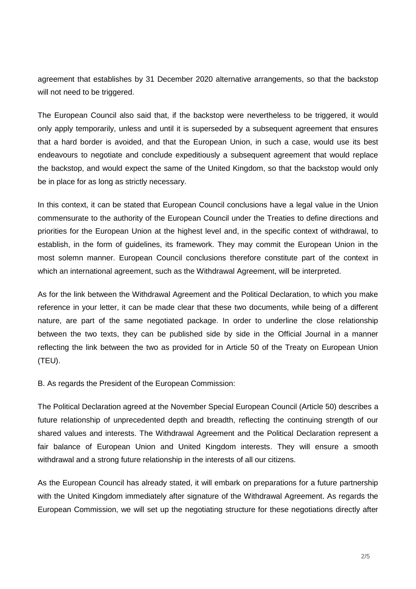agreement that establishes by 31 December 2020 alternative arrangements, so that the backstop will not need to be triggered.

The European Council also said that, if the backstop were nevertheless to be triggered, it would only apply temporarily, unless and until it is superseded by a subsequent agreement that ensures that a hard border is avoided, and that the European Union, in such a case, would use its best endeavours to negotiate and conclude expeditiously a subsequent agreement that would replace the backstop, and would expect the same of the United Kingdom, so that the backstop would only be in place for as long as strictly necessary.

In this context, it can be stated that European Council conclusions have a legal value in the Union commensurate to the authority of the European Council under the Treaties to define directions and priorities for the European Union at the highest level and, in the specific context of withdrawal, to establish, in the form of guidelines, its framework. They may commit the European Union in the most solemn manner. European Council conclusions therefore constitute part of the context in which an international agreement, such as the Withdrawal Agreement, will be interpreted.

As for the link between the Withdrawal Agreement and the Political Declaration, to which you make reference in your letter, it can be made clear that these two documents, while being of a different nature, are part of the same negotiated package. In order to underline the close relationship between the two texts, they can be published side by side in the Official Journal in a manner reflecting the link between the two as provided for in Article 50 of the Treaty on European Union (TEU).

B. As regards the President of the European Commission:

The Political Declaration agreed at the November Special European Council (Article 50) describes a future relationship of unprecedented depth and breadth, reflecting the continuing strength of our shared values and interests. The Withdrawal Agreement and the Political Declaration represent a fair balance of European Union and United Kingdom interests. They will ensure a smooth withdrawal and a strong future relationship in the interests of all our citizens.

As the European Council has already stated, it will embark on preparations for a future partnership with the United Kingdom immediately after signature of the Withdrawal Agreement. As regards the European Commission, we will set up the negotiating structure for these negotiations directly after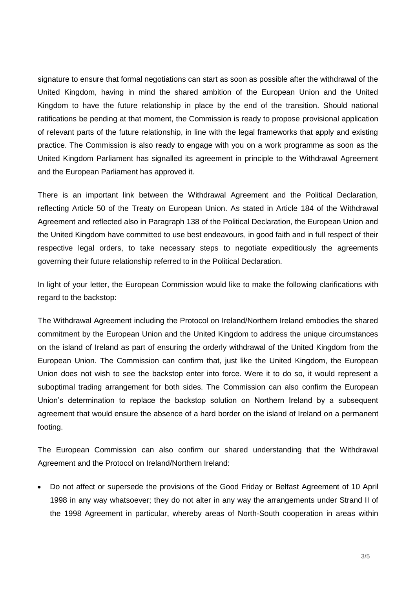signature to ensure that formal negotiations can start as soon as possible after the withdrawal of the United Kingdom, having in mind the shared ambition of the European Union and the United Kingdom to have the future relationship in place by the end of the transition. Should national ratifications be pending at that moment, the Commission is ready to propose provisional application of relevant parts of the future relationship, in line with the legal frameworks that apply and existing practice. The Commission is also ready to engage with you on a work programme as soon as the United Kingdom Parliament has signalled its agreement in principle to the Withdrawal Agreement and the European Parliament has approved it.

There is an important link between the Withdrawal Agreement and the Political Declaration, reflecting Article 50 of the Treaty on European Union. As stated in Article 184 of the Withdrawal Agreement and reflected also in Paragraph 138 of the Political Declaration, the European Union and the United Kingdom have committed to use best endeavours, in good faith and in full respect of their respective legal orders, to take necessary steps to negotiate expeditiously the agreements governing their future relationship referred to in the Political Declaration.

In light of your letter, the European Commission would like to make the following clarifications with regard to the backstop:

The Withdrawal Agreement including the Protocol on Ireland/Northern Ireland embodies the shared commitment by the European Union and the United Kingdom to address the unique circumstances on the island of Ireland as part of ensuring the orderly withdrawal of the United Kingdom from the European Union. The Commission can confirm that, just like the United Kingdom, the European Union does not wish to see the backstop enter into force. Were it to do so, it would represent a suboptimal trading arrangement for both sides. The Commission can also confirm the European Union's determination to replace the backstop solution on Northern Ireland by a subsequent agreement that would ensure the absence of a hard border on the island of Ireland on a permanent footing.

The European Commission can also confirm our shared understanding that the Withdrawal Agreement and the Protocol on Ireland/Northern Ireland:

 Do not affect or supersede the provisions of the Good Friday or Belfast Agreement of 10 April 1998 in any way whatsoever; they do not alter in any way the arrangements under Strand II of the 1998 Agreement in particular, whereby areas of North-South cooperation in areas within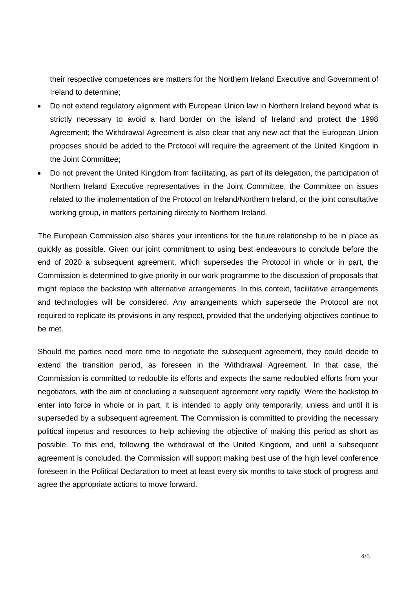their respective competences are matters for the Northern Ireland Executive and Government of Ireland to determine;

- Do not extend regulatory alignment with European Union law in Northern Ireland beyond what is strictly necessary to avoid a hard border on the island of Ireland and protect the 1998 Agreement; the Withdrawal Agreement is also clear that any new act that the European Union proposes should be added to the Protocol will require the agreement of the United Kingdom in the Joint Committee;
- Do not prevent the United Kingdom from facilitating, as part of its delegation, the participation of Northern Ireland Executive representatives in the Joint Committee, the Committee on issues related to the implementation of the Protocol on Ireland/Northern Ireland, or the joint consultative working group, in matters pertaining directly to Northern Ireland.

The European Commission also shares your intentions for the future relationship to be in place as quickly as possible. Given our joint commitment to using best endeavours to conclude before the end of 2020 a subsequent agreement, which supersedes the Protocol in whole or in part, the Commission is determined to give priority in our work programme to the discussion of proposals that might replace the backstop with alternative arrangements. In this context, facilitative arrangements and technologies will be considered. Any arrangements which supersede the Protocol are not required to replicate its provisions in any respect, provided that the underlying objectives continue to be met.

Should the parties need more time to negotiate the subsequent agreement, they could decide to extend the transition period, as foreseen in the Withdrawal Agreement. In that case, the Commission is committed to redouble its efforts and expects the same redoubled efforts from your negotiators, with the aim of concluding a subsequent agreement very rapidly. Were the backstop to enter into force in whole or in part, it is intended to apply only temporarily, unless and until it is superseded by a subsequent agreement. The Commission is committed to providing the necessary political impetus and resources to help achieving the objective of making this period as short as possible. To this end, following the withdrawal of the United Kingdom, and until a subsequent agreement is concluded, the Commission will support making best use of the high level conference foreseen in the Political Declaration to meet at least every six months to take stock of progress and agree the appropriate actions to move forward.